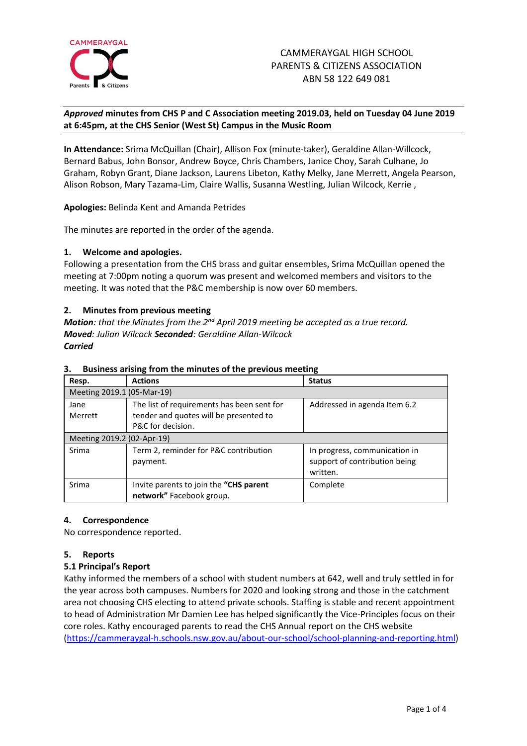

### *Approved* **minutes from CHS P and C Association meeting 2019.03, held on Tuesday 04 June 2019 at 6:45pm, at the CHS Senior (West St) Campus in the Music Room**

**In Attendance:** Srima McQuillan (Chair), Allison Fox (minute-taker), Geraldine Allan-Willcock, Bernard Babus, John Bonsor, Andrew Boyce, Chris Chambers, Janice Choy, Sarah Culhane, Jo Graham, Robyn Grant, Diane Jackson, Laurens Libeton, Kathy Melky, Jane Merrett, Angela Pearson, Alison Robson, Mary Tazama-Lim, Claire Wallis, Susanna Westling, Julian Wilcock, Kerrie ,

**Apologies:** Belinda Kent and Amanda Petrides

The minutes are reported in the order of the agenda.

### **1. Welcome and apologies.**

Following a presentation from the CHS brass and guitar ensembles, Srima McQuillan opened the meeting at 7:00pm noting a quorum was present and welcomed members and visitors to the meeting. It was noted that the P&C membership is now over 60 members.

### **2. Minutes from previous meeting**

*Motion: that the Minutes from the 2<sup>nd</sup> April 2019 meeting be accepted as a true record. Moved: Julian Wilcock Seconded: Geraldine Allan-Wilcock Carried*

| Resp.                      | <b>Actions</b>                                                                                            | <b>Status</b>                                                              |
|----------------------------|-----------------------------------------------------------------------------------------------------------|----------------------------------------------------------------------------|
| Meeting 2019.1 (05-Mar-19) |                                                                                                           |                                                                            |
| Jane<br>Merrett            | The list of requirements has been sent for<br>tender and quotes will be presented to<br>P&C for decision. | Addressed in agenda Item 6.2                                               |
| Meeting 2019.2 (02-Apr-19) |                                                                                                           |                                                                            |
| Srima                      | Term 2, reminder for P&C contribution<br>payment.                                                         | In progress, communication in<br>support of contribution being<br>written. |
| Srima                      | Invite parents to join the "CHS parent<br>network" Facebook group.                                        | Complete                                                                   |

### **3. Business arising from the minutes of the previous meeting**

### **4. Correspondence**

No correspondence reported.

### **5. Reports**

### **5.1 Principal's Report**

Kathy informed the members of a school with student numbers at 642, well and truly settled in for the year across both campuses. Numbers for 2020 and looking strong and those in the catchment area not choosing CHS electing to attend private schools. Staffing is stable and recent appointment to head of Administration Mr Damien Lee has helped significantly the Vice-Principles focus on their core roles. Kathy encouraged parents to read the CHS Annual report on the CHS website [\(https://cammeraygal-h.schools.nsw.gov.au/about-our-school/school-planning-and-reporting.html\)](https://cammeraygal-h.schools.nsw.gov.au/about-our-school/school-planning-and-reporting.html)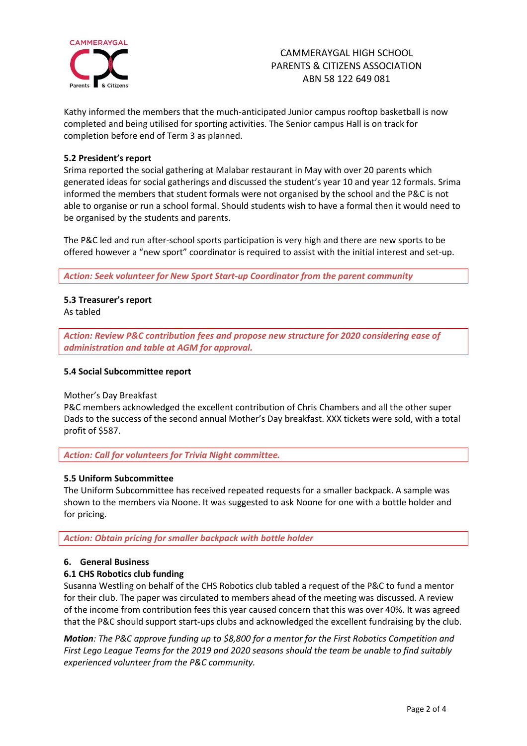

Kathy informed the members that the much-anticipated Junior campus rooftop basketball is now completed and being utilised for sporting activities. The Senior campus Hall is on track for completion before end of Term 3 as planned.

### **5.2 President's report**

Srima reported the social gathering at Malabar restaurant in May with over 20 parents which generated ideas for social gatherings and discussed the student's year 10 and year 12 formals. Srima informed the members that student formals were not organised by the school and the P&C is not able to organise or run a school formal. Should students wish to have a formal then it would need to be organised by the students and parents.

The P&C led and run after-school sports participation is very high and there are new sports to be offered however a "new sport" coordinator is required to assist with the initial interest and set-up.

*Action: Seek volunteer for New Sport Start-up Coordinator from the parent community*

## **5.3 Treasurer's report**

As tabled

*Action: Review P&C contribution fees and propose new structure for 2020 considering ease of administration and table at AGM for approval.* 

#### **5.4 Social Subcommittee report**

Mother's Day Breakfast

P&C members acknowledged the excellent contribution of Chris Chambers and all the other super Dads to the success of the second annual Mother's Day breakfast. XXX tickets were sold, with a total profit of \$587.

*Action: Call for volunteers for Trivia Night committee.*

### **5.5 Uniform Subcommittee**

The Uniform Subcommittee has received repeated requests for a smaller backpack. A sample was shown to the members via Noone. It was suggested to ask Noone for one with a bottle holder and for pricing.

*Action: Obtain pricing for smaller backpack with bottle holder*

### **6. General Business**

### **6.1 CHS Robotics club funding**

Susanna Westling on behalf of the CHS Robotics club tabled a request of the P&C to fund a mentor for their club. The paper was circulated to members ahead of the meeting was discussed. A review of the income from contribution fees this year caused concern that this was over 40%. It was agreed that the P&C should support start-ups clubs and acknowledged the excellent fundraising by the club.

*Motion: The P&C approve funding up to \$8,800 for a mentor for the First Robotics Competition and First Lego League Teams for the 2019 and 2020 seasons should the team be unable to find suitably experienced volunteer from the P&C community.*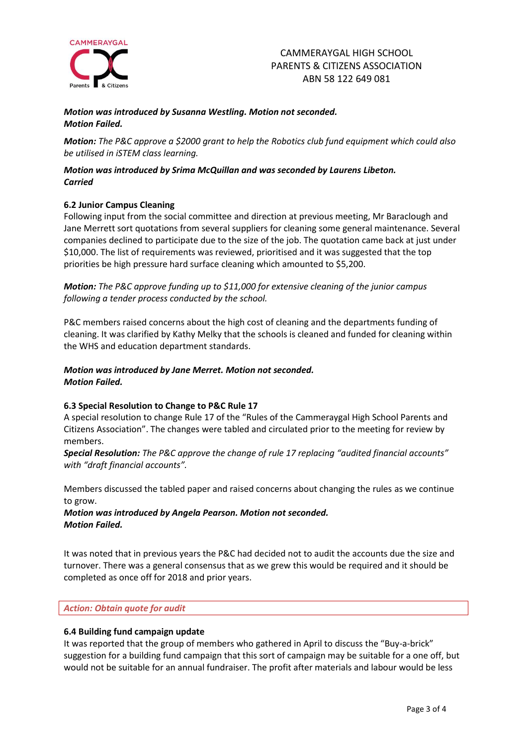

### *Motion was introduced by Susanna Westling. Motion not seconded. Motion Failed.*

*Motion: The P&C approve a \$2000 grant to help the Robotics club fund equipment which could also be utilised in iSTEM class learning.*

### *Motion was introduced by Srima McQuillan and was seconded by Laurens Libeton. Carried*

### **6.2 Junior Campus Cleaning**

Following input from the social committee and direction at previous meeting, Mr Baraclough and Jane Merrett sort quotations from several suppliers for cleaning some general maintenance. Several companies declined to participate due to the size of the job. The quotation came back at just under \$10,000. The list of requirements was reviewed, prioritised and it was suggested that the top priorities be high pressure hard surface cleaning which amounted to \$5,200.

*Motion: The P&C approve funding up to \$11,000 for extensive cleaning of the junior campus following a tender process conducted by the school.*

P&C members raised concerns about the high cost of cleaning and the departments funding of cleaning. It was clarified by Kathy Melky that the schools is cleaned and funded for cleaning within the WHS and education department standards.

### *Motion was introduced by Jane Merret. Motion not seconded. Motion Failed.*

### **6.3 Special Resolution to Change to P&C Rule 17**

A special resolution to change Rule 17 of the "Rules of the Cammeraygal High School Parents and Citizens Association". The changes were tabled and circulated prior to the meeting for review by members.

*Special Resolution: The P&C approve the change of rule 17 replacing "audited financial accounts" with "draft financial accounts".*

Members discussed the tabled paper and raised concerns about changing the rules as we continue to grow.

## *Motion was introduced by Angela Pearson. Motion not seconded. Motion Failed.*

It was noted that in previous years the P&C had decided not to audit the accounts due the size and turnover. There was a general consensus that as we grew this would be required and it should be completed as once off for 2018 and prior years.

### *Action: Obtain quote for audit*

### **6.4 Building fund campaign update**

It was reported that the group of members who gathered in April to discuss the "Buy-a-brick" suggestion for a building fund campaign that this sort of campaign may be suitable for a one off, but would not be suitable for an annual fundraiser. The profit after materials and labour would be less